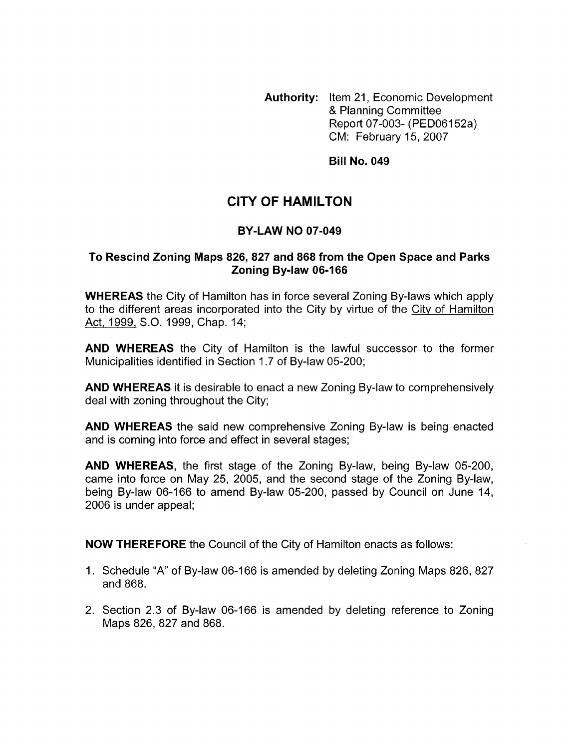**Authority:** Item 21, Economic Development & Planning Committee Report 07-003- (PEDO6152a) CM: February 15,2007

**Bill No. 049** 

## **CITY OF HAMILTON**

## **BY-LAW NO 07-049**

## **To Rescind Zoning Maps 826,827 and 868 from the Open Space and Parks Zoning Bylaw 06-166**

**WHEREAS** the City of Hamilton has in force several Zoning By-laws which apply to the different areas incorporated into the City by virtue of the City of Hamilton Act, 1999, S.O. 1999, Chap. 14;

**AND WHEREAS** the City of Hamilton is the lawful successor to the former Municipalities identified in Section 1.7 of By-law 05-200;

**AND WHEREAS** it is desirable to enact a new Zoning By-law to comprehensively deal with zoning throughout the City;

**AND WHEREAS** the said new comprehensive Zoning By-law is being enacted and is coming into force and effect in several stages;

**AND WHEREAS,** the first stage of the Zoning By-law, being By-law 05-200, came into force on May 25, 2005, and the second stage of the Zoning By-law, being By-law 06-166 to amend By-law 05-200, passed by Council on June 14, 2006 is under appeal;

**NOW THEREFORE** the Council of the City of Hamilton enacts as follows:

- 1. Schedule "A" of By-law 06-166 is amended by deleting Zoning Maps 826, 827 and 868.
- 2. Section 2.3 of By-law 06-166 is amended by deleting reference to Zoning Maps 826, 827 and 868.